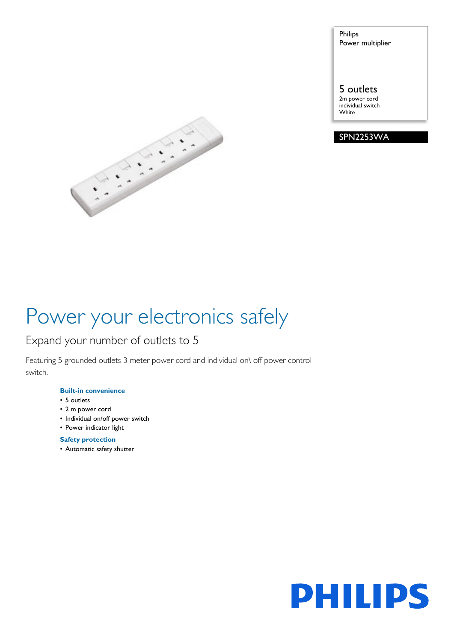Philips Power multiplier

### 5 outlets

2m power cord individual switch White





# Power your electronics safely

### Expand your number of outlets to 5

Featuring 5 grounded outlets 3 meter power cord and individual on\ off power control switch.

#### **Built-in convenience**

- 5 outlets
- 2 m power cord
- Individual on/off power switch
- Power indicator light

### **Safety protection**

• Automatic safety shutter